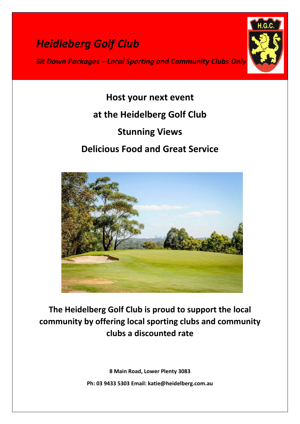# *Heidleberg Golf Club*

*Sit Down Packages – Local Sporting and Community Clubs Only*



**Host your next event at the Heidelberg Golf Club Stunning Views Delicious Food and Great Service** 



**The Heidelberg Golf Club is proud to support the local community by offering local sporting clubs and community clubs a discounted rate**

> **8 Main Road, Lower Plenty 3083 Ph: 03 9433 5303 Email: katie@heidelberg.com.au**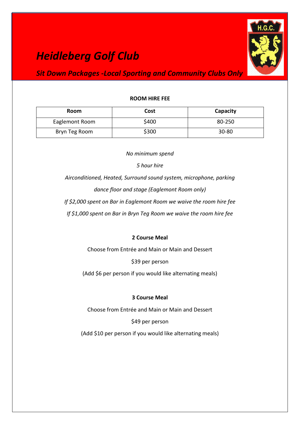## *Heidleberg Golf Club*



### *Sit Down Packages -Local Sporting and Community Clubs Only*

#### **ROOM HIRE FEE**

| <b>Room</b>    | Cost  | Capacity  |
|----------------|-------|-----------|
| Eaglemont Room | \$400 | 80-250    |
| Bryn Teg Room  | \$300 | $30 - 80$ |

*No minimum spend*

*5 hour hire* 

*Airconditioned, Heated, Surround sound system, microphone, parking dance floor and stage (Eaglemont Room only)* 

*If \$2,000 spent on Bar in Eaglemont Room we waive the room hire fee*

*If \$1,000 spent on Bar in Bryn Teg Room we waive the room hire fee*

#### **2 Course Meal**

Choose from Entrée and Main or Main and Dessert

\$39 per person

(Add \$6 per person if you would like alternating meals)

#### **3 Course Meal**

Choose from Entrée and Main or Main and Dessert

\$49 per person

(Add \$10 per person if you would like alternating meals)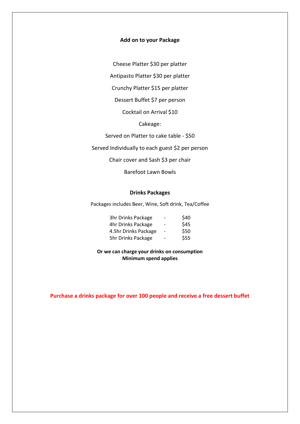#### **Add on to your Package**

Cheese Platter \$30 per platter

Antipasto Platter \$30 per platter

Crunchy Platter \$15 per platter

Dessert Buffet \$7 per person

Cocktail on Arrival \$10

Cakeage:

Served on Platter to cake table - \$50

Served Individually to each guest \$2 per person

Chair cover and Sash \$3 per chair

Barefoot Lawn Bowls

#### **Drinks Packages**

Packages includes Beer, Wine, Soft drink, Tea/Coffee

| 3hr Drinks Package        | $\overline{\phantom{0}}$ | \$40 |
|---------------------------|--------------------------|------|
| 4hr Drinks Package        | -                        | \$45 |
| 4.5hr Drinks Package      |                          | \$50 |
| <b>5hr Drinks Package</b> |                          | \$55 |

**Or we can charge your drinks on consumption Minimum spend applies**

**Purchase a drinks package for over 100 people and receive a free dessert buffet**